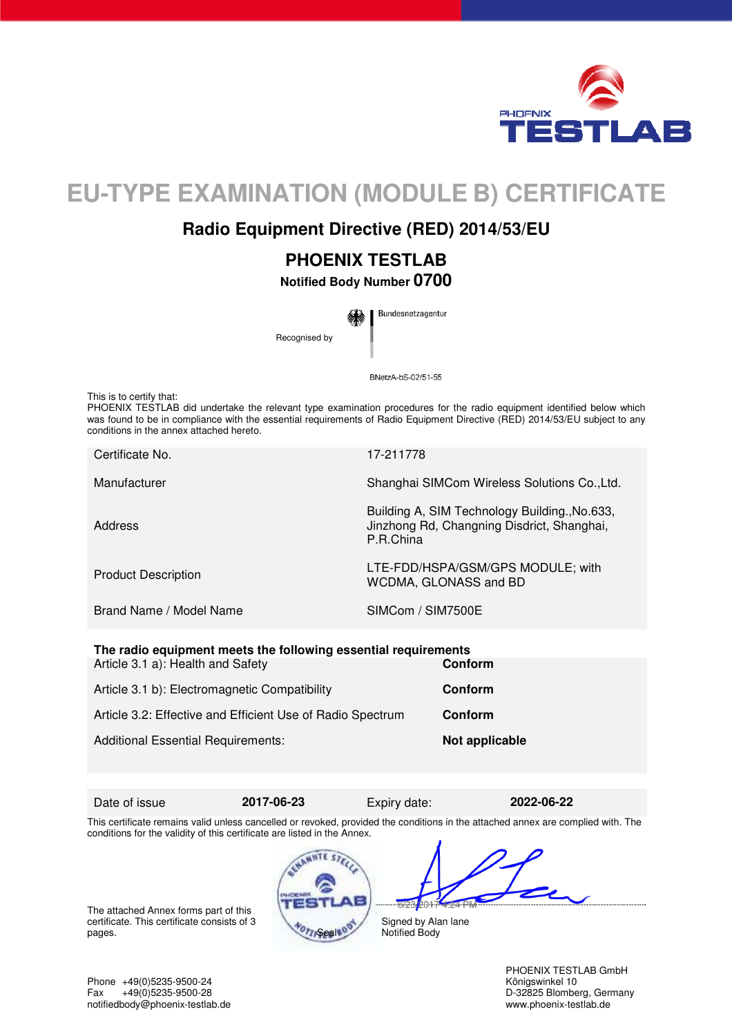

# **EU-TYPE EXAMINATION (MODULE B) CERTIFICATE**

## **Radio Equipment Directive (RED) 2014/53/EU**

## **PHOENIX TESTLAB**

**Notified Body Number 0700** 

Bundesnetzagentur Recognised by

BNetzA-bS-02/51-55

This is to certify that:

PHOENIX TESTLAB did undertake the relevant type examination procedures for the radio equipment identified below which was found to be in compliance with the essential requirements of Radio Equipment Directive (RED) 2014/53/EU subject to any conditions in the annex attached hereto.

| Certificate No.            | 17-211778                                                                                                |
|----------------------------|----------------------------------------------------------------------------------------------------------|
| Manufacturer               | Shanghai SIMCom Wireless Solutions Co., Ltd.                                                             |
| Address                    | Building A, SIM Technology Building., No.633,<br>Jinzhong Rd, Changning Disdrict, Shanghai,<br>P.R.China |
| <b>Product Description</b> | LTE-FDD/HSPA/GSM/GPS MODULE; with<br>WCDMA, GLONASS and BD                                               |
| Brand Name / Model Name    | SIMCom / SIM7500E                                                                                        |
|                            |                                                                                                          |

| The radio equipment meets the following essential requirements |                |  |
|----------------------------------------------------------------|----------------|--|
| Article 3.1 a): Health and Safety                              | <b>Conform</b> |  |
|                                                                |                |  |
| Article 3.1 b): Electromagnetic Compatibility                  | <b>Conform</b> |  |
|                                                                |                |  |
| Article 3.2: Effective and Efficient Use of Radio Spectrum     | Conform        |  |
|                                                                |                |  |
| <b>Additional Essential Requirements:</b>                      | Not applicable |  |
|                                                                |                |  |

Date of issue **2017-06-23** Expiry date: **2022-06-22** 

This certificate remains valid unless cancelled or revoked, provided the conditions in the attached annex are complied with. The conditions for the validity of this certificate are listed in the Annex.

The attached Annex forms part of this certificate. This certificate consists of 3



bo 1

Signed by Alan lane Notified Body

PHOENIX TESTLAB GmbH<br>Königswinkel 10

Phone +49(0)5235-9500-24<br>Fax +49(0)5235-9500-28 Fax +49(0)5235-9500-28 D-32825 Blomberg, Germany<br>
notifiedbody@phoenix-testlab.de<br>
www.phoenix-testlab.de<br>
www.phoenix-testlab.de notifiedbody@phoenix-testlab.de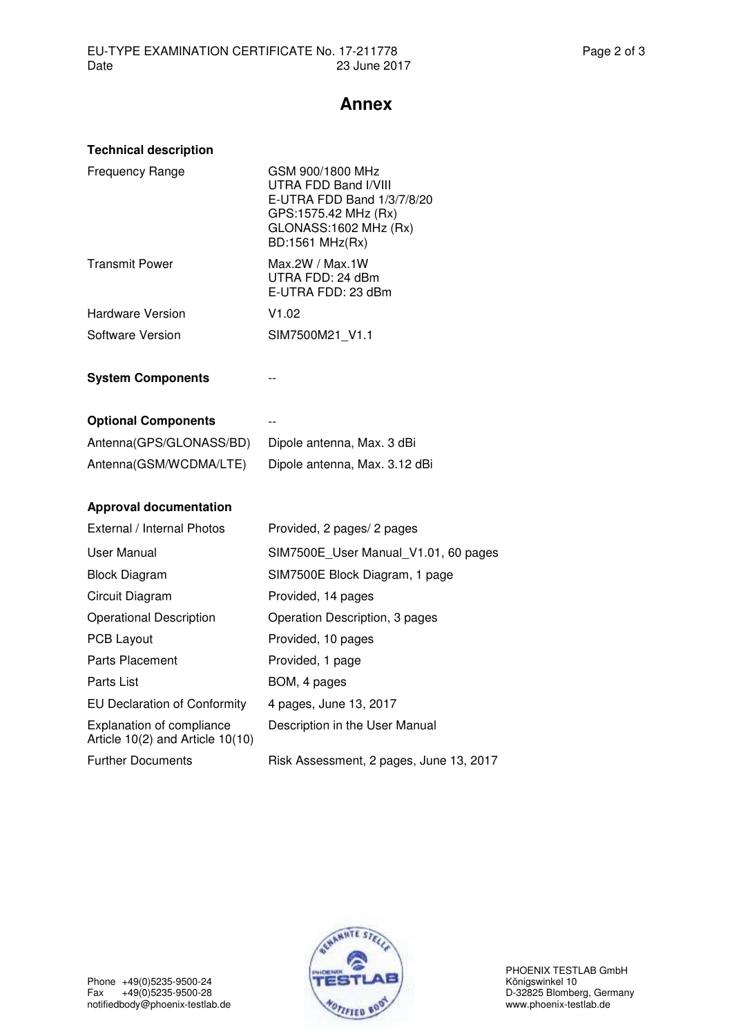## **Annex**

| <b>Technical description</b>                                         |                                                                                                                                            |
|----------------------------------------------------------------------|--------------------------------------------------------------------------------------------------------------------------------------------|
| <b>Frequency Range</b>                                               | GSM 900/1800 MHz<br>UTRA FDD Band I/VIII<br>E-UTRA FDD Band 1/3/7/8/20<br>GPS:1575.42 MHz (Rx)<br>GLONASS:1602 MHz (Rx)<br>BD:1561 MHz(Rx) |
| <b>Transmit Power</b>                                                | Max.2W / Max.1W<br>UTRA FDD: 24 dBm<br>E-UTRA FDD: 23 dBm                                                                                  |
| Hardware Version                                                     | V1.02                                                                                                                                      |
| Software Version                                                     | SIM7500M21_V1.1                                                                                                                            |
| <b>System Components</b>                                             |                                                                                                                                            |
|                                                                      |                                                                                                                                            |
| <b>Optional Components</b>                                           |                                                                                                                                            |
| Antenna(GPS/GLONASS/BD)                                              | Dipole antenna, Max. 3 dBi                                                                                                                 |
| Antenna(GSM/WCDMA/LTE)                                               | Dipole antenna, Max. 3.12 dBi                                                                                                              |
|                                                                      |                                                                                                                                            |
| <b>Approval documentation</b>                                        |                                                                                                                                            |
| External / Internal Photos                                           | Provided, 2 pages/ 2 pages                                                                                                                 |
| User Manual                                                          | SIM7500E_User Manual_V1.01, 60 pages                                                                                                       |
| <b>Block Diagram</b>                                                 | SIM7500E Block Diagram, 1 page                                                                                                             |
| Circuit Diagram                                                      | Provided, 14 pages                                                                                                                         |
| <b>Operational Description</b>                                       | Operation Description, 3 pages                                                                                                             |
| <b>PCB Layout</b>                                                    | Provided, 10 pages                                                                                                                         |
| <b>Parts Placement</b>                                               | Provided, 1 page                                                                                                                           |
| Parts List                                                           | BOM, 4 pages                                                                                                                               |
| <b>EU Declaration of Conformity</b>                                  | 4 pages, June 13, 2017                                                                                                                     |
| <b>Explanation of compliance</b><br>Article 10(2) and Article 10(10) | Description in the User Manual                                                                                                             |
| <b>Further Documents</b>                                             | Risk Assessment, 2 pages, June 13, 2017                                                                                                    |